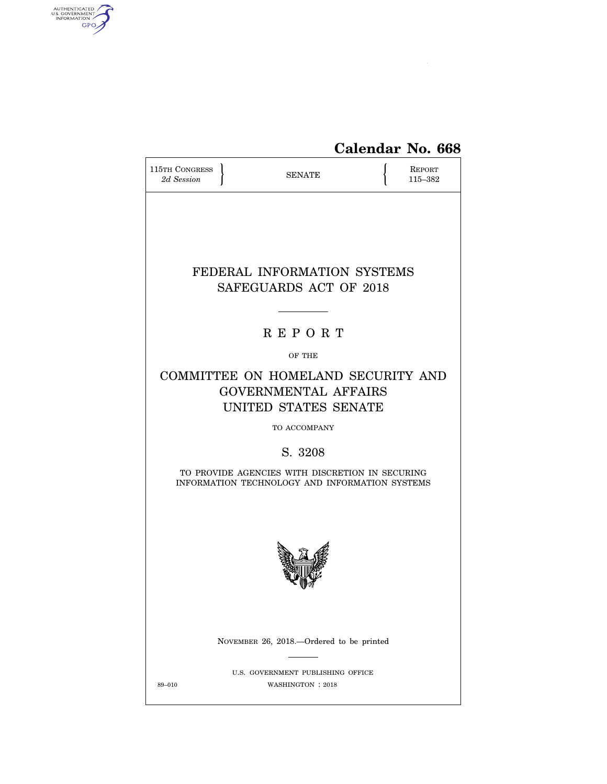

# **Calendar No. 668**

| <b>115TH CONGRESS</b><br>2d Session                                                               |  | <b>SENATE</b>                                                                             |  | <b>REPORT</b><br>115-382 |  |
|---------------------------------------------------------------------------------------------------|--|-------------------------------------------------------------------------------------------|--|--------------------------|--|
|                                                                                                   |  | FEDERAL INFORMATION SYSTEMS<br>SAFEGUARDS ACT OF 2018                                     |  |                          |  |
|                                                                                                   |  | <b>REPORT</b>                                                                             |  |                          |  |
|                                                                                                   |  | OF THE                                                                                    |  |                          |  |
|                                                                                                   |  | COMMITTEE ON HOMELAND SECURITY AND<br><b>GOVERNMENTAL AFFAIRS</b><br>UNITED STATES SENATE |  |                          |  |
| TO ACCOMPANY                                                                                      |  |                                                                                           |  |                          |  |
| S. 3208                                                                                           |  |                                                                                           |  |                          |  |
| TO PROVIDE AGENCIES WITH DISCRETION IN SECURING<br>INFORMATION TECHNOLOGY AND INFORMATION SYSTEMS |  |                                                                                           |  |                          |  |
|                                                                                                   |  |                                                                                           |  |                          |  |
|                                                                                                   |  | NOVEMBER 26, 2018.—Ordered to be printed                                                  |  |                          |  |
| 89-010                                                                                            |  | U.S. GOVERNMENT PUBLISHING OFFICE<br>WASHINGTON : 2018                                    |  |                          |  |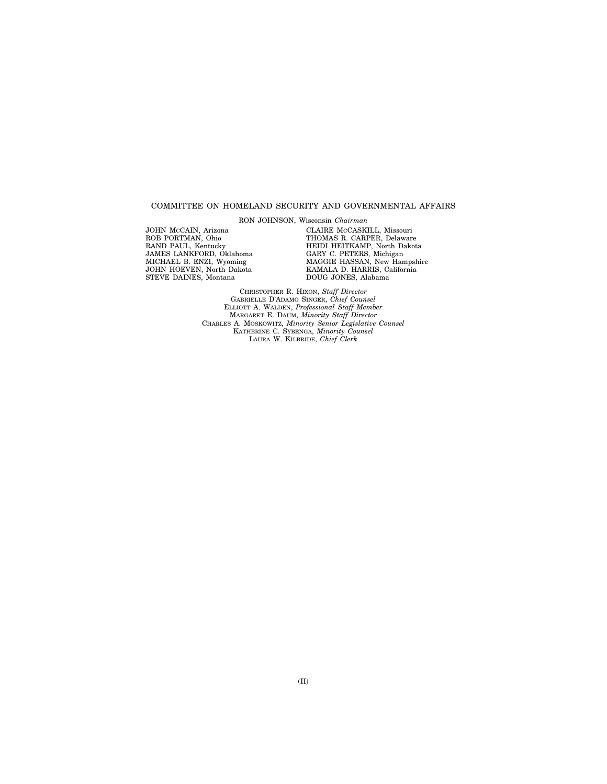# COMMITTEE ON HOMELAND SECURITY AND GOVERNMENTAL AFFAIRS

RON JOHNSON, Wisconsin *Chairman* 

JOHN MCCAIN, Arizona ROB PORTMAN, Ohio RAND PAUL, Kentucky JAMES LANKFORD, Oklahoma MICHAEL B. ENZI, Wyoming JOHN HOEVEN, North Dakota STEVE DAINES, Montana

CLAIRE MCCASKILL, Missouri THOMAS R. CARPER, Delaware HEIDI HEITKAMP, North Dakota GARY C. PETERS, Michigan MAGGIE HASSAN, New Hampshire KAMALA D. HARRIS, California DOUG JONES, Alabama

CHRISTOPHER R. HIXON, *Staff Director*  GABRIELLE D'ADAMO SINGER, *Chief Counsel*  ELLIOTT A. WALDEN, *Professional Staff Member*  MARGARET E. DAUM, *Minority Staff Director*  CHARLES A. MOSKOWITZ, *Minority Senior Legislative Counsel*  KATHERINE C. SYBENGA, *Minority Counsel*  LAURA W. KILBRIDE, *Chief Clerk*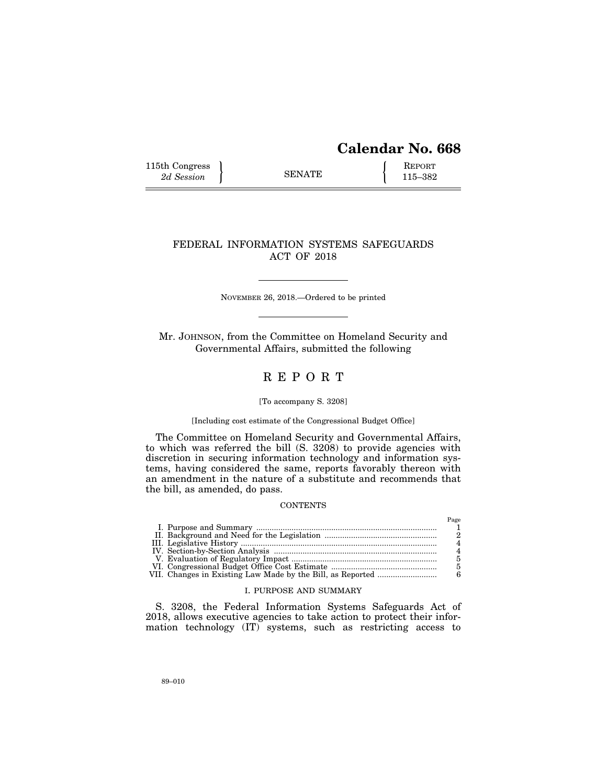# **Calendar No. 668**

115th Congress <br>
2d Session **SENATE** 115–382

# FEDERAL INFORMATION SYSTEMS SAFEGUARDS ACT OF 2018

NOVEMBER 26, 2018.—Ordered to be printed

Mr. JOHNSON, from the Committee on Homeland Security and Governmental Affairs, submitted the following

# R E P O R T

## [To accompany S. 3208]

# [Including cost estimate of the Congressional Budget Office]

The Committee on Homeland Security and Governmental Affairs, to which was referred the bill (S. 3208) to provide agencies with discretion in securing information technology and information systems, having considered the same, reports favorably thereon with an amendment in the nature of a substitute and recommends that the bill, as amended, do pass.

# **CONTENTS**

|  | Page |
|--|------|
|  |      |
|  |      |
|  |      |
|  |      |
|  |      |
|  |      |
|  |      |

# I. PURPOSE AND SUMMARY

S. 3208, the Federal Information Systems Safeguards Act of 2018, allows executive agencies to take action to protect their information technology (IT) systems, such as restricting access to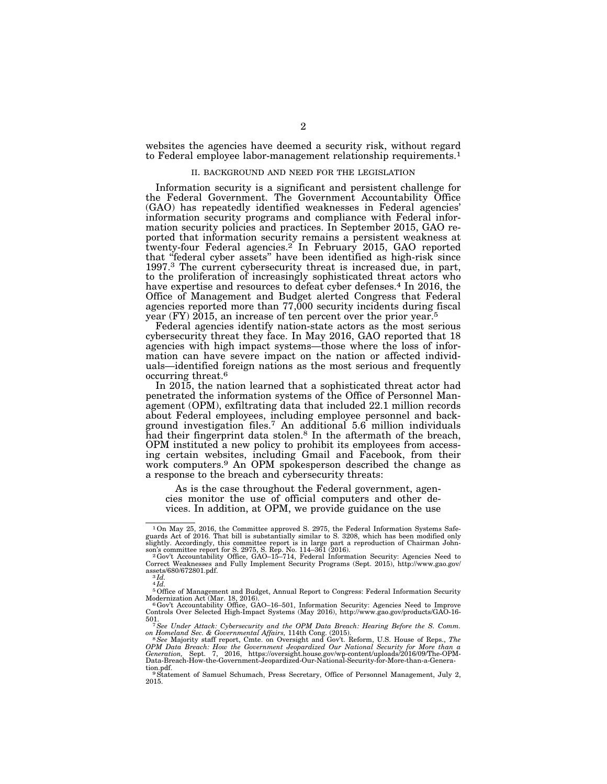websites the agencies have deemed a security risk, without regard to Federal employee labor-management relationship requirements.1

## II. BACKGROUND AND NEED FOR THE LEGISLATION

Information security is a significant and persistent challenge for the Federal Government. The Government Accountability Office (GAO) has repeatedly identified weaknesses in Federal agencies' information security programs and compliance with Federal information security policies and practices. In September 2015, GAO reported that information security remains a persistent weakness at twenty-four Federal agencies.<sup>2</sup> In February 2015, GAO reported that ''federal cyber assets'' have been identified as high-risk since 1997.3 The current cybersecurity threat is increased due, in part, to the proliferation of increasingly sophisticated threat actors who have expertise and resources to defeat cyber defenses.<sup>4</sup> In 2016, the Office of Management and Budget alerted Congress that Federal agencies reported more than 77,000 security incidents during fiscal year (FY) 2015, an increase of ten percent over the prior year.5

Federal agencies identify nation-state actors as the most serious cybersecurity threat they face. In May 2016, GAO reported that 18 agencies with high impact systems—those where the loss of information can have severe impact on the nation or affected individuals—identified foreign nations as the most serious and frequently occurring threat.6

In 2015, the nation learned that a sophisticated threat actor had penetrated the information systems of the Office of Personnel Management (OPM), exfiltrating data that included 22.1 million records about Federal employees, including employee personnel and background investigation files.7 An additional 5.6 million individuals had their fingerprint data stolen.<sup>8</sup> In the aftermath of the breach, OPM instituted a new policy to prohibit its employees from accessing certain websites, including Gmail and Facebook, from their work computers.9 An OPM spokesperson described the change as a response to the breach and cybersecurity threats:

As is the case throughout the Federal government, agencies monitor the use of official computers and other devices. In addition, at OPM, we provide guidance on the use

<sup>1</sup>On May 25, 2016, the Committee approved S. 2975, the Federal Information Systems Safe-guards Act of 2016. That bill is substantially similar to S. 3208, which has been modified only slightly. Accordingly, this committee report is in large part a reproduction of Chairman John-<br>son's committee report for S. 2975, S. Rep. No. 114–361 (2016).<br>- <sup>2</sup> Gov't Accountability Office, GAO–15–714, Federal Informat

Correct Weaknesses and Fully Implement Security Programs (Sept. 2015), http://www.gao.gov/<br>assets/680/672801.pdf.<br><sup>3 *Id.*</sup>

<sup>4</sup> *Id.* 

 $^5$  Office of Management and Budget, Annual Report to Congress: Federal Information Security Modernization Act (Mar. 18, 2016).

Modernization Act (Mar. 18, 2016).<br><sup>6</sup> Gov't Accountability Office, GAO–16–501, Information Security: Agencies Need to Improve<br>Controls Over Selected High-Impact Systems (May 2016), http://www.gao.gov/products/GAO-16-501. 7*See Under Attack: Cybersecurity and the OPM Data Breach: Hearing Before the S. Comm.* 

*on Homeland Sec. & Governmental Affairs,* 114th Cong. (2015). 8*See* Majority staff report, Cmte. on Oversight and Gov't. Reform, U.S. House of Reps., *The* 

OPM Data Breach: How the Government Jeopardized Our National Security for More than a<br>Generation, Sept. 7, 2016, https://oversight.house.gov/wp-content/uploads/2016/09/The-OPM-<br>Data-Breach-How-the-Government-Jeopardize tion.pdf. 9Statement of Samuel Schumach, Press Secretary, Office of Personnel Management, July 2,

<sup>2015.</sup>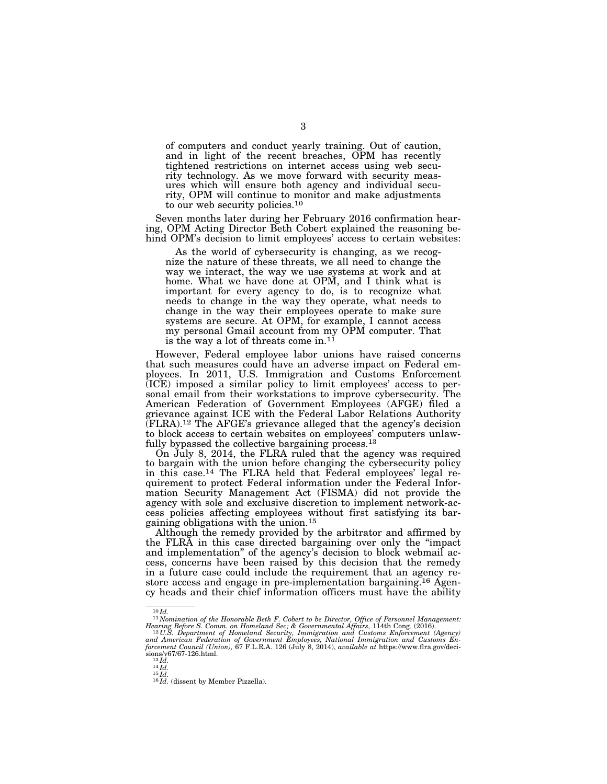of computers and conduct yearly training. Out of caution, and in light of the recent breaches, OPM has recently tightened restrictions on internet access using web security technology. As we move forward with security measures which will ensure both agency and individual security, OPM will continue to monitor and make adjustments to our web security policies.<sup>10</sup>

Seven months later during her February 2016 confirmation hearing, OPM Acting Director Beth Cobert explained the reasoning behind OPM's decision to limit employees' access to certain websites:

As the world of cybersecurity is changing, as we recognize the nature of these threats, we all need to change the way we interact, the way we use systems at work and at home. What we have done at OPM, and I think what is important for every agency to do, is to recognize what needs to change in the way they operate, what needs to change in the way their employees operate to make sure systems are secure. At OPM, for example, I cannot access my personal Gmail account from my OPM computer. That is the way a lot of threats come in.<sup>11</sup>

However, Federal employee labor unions have raised concerns that such measures could have an adverse impact on Federal employees. In 2011, U.S. Immigration and Customs Enforcement (ICE) imposed a similar policy to limit employees' access to personal email from their workstations to improve cybersecurity. The American Federation of Government Employees (AFGE) filed a grievance against ICE with the Federal Labor Relations Authority (FLRA).12 The AFGE's grievance alleged that the agency's decision to block access to certain websites on employees' computers unlawfully bypassed the collective bargaining process.<sup>13</sup>

On  $J_{\text{ul}}$  8, 2014, the FLRA ruled that the agency was required to bargain with the union before changing the cybersecurity policy in this case.14 The FLRA held that Federal employees' legal requirement to protect Federal information under the Federal Information Security Management Act (FISMA) did not provide the agency with sole and exclusive discretion to implement network-access policies affecting employees without first satisfying its bargaining obligations with the union.15

Although the remedy provided by the arbitrator and affirmed by the FLRA in this case directed bargaining over only the ''impact and implementation'' of the agency's decision to block webmail access, concerns have been raised by this decision that the remedy in a future case could include the requirement that an agency restore access and engage in pre-implementation bargaining.16 Agency heads and their chief information officers must have the ability

<sup>10</sup> *Id.* <sup>11</sup> *Nomination of the Honorable Beth F. Cobert to be Director, Office of Personnel Management:* 

Hearing Before S. Comm. on Homeland Sec; & Governmental Affairs, 114th Cong. (2016).<br><sup>12</sup> U.S. Department of Homeland Security, Immigration and Customs Enforcement (Agency)<br>and American Federation of Government Employees, *forcement Council (Union),* 67 F.L.R.A. 126 (July 8, 2014), *available at* https://www.flra.gov/deci-<br>
sions/v67/67-126.html.<br>
<sup>13</sup>*Id.*<br>
<sup>15</sup>*Id. Id.*<br>
<sup>16</sup>*Id.* (dissent by Member Pizzella).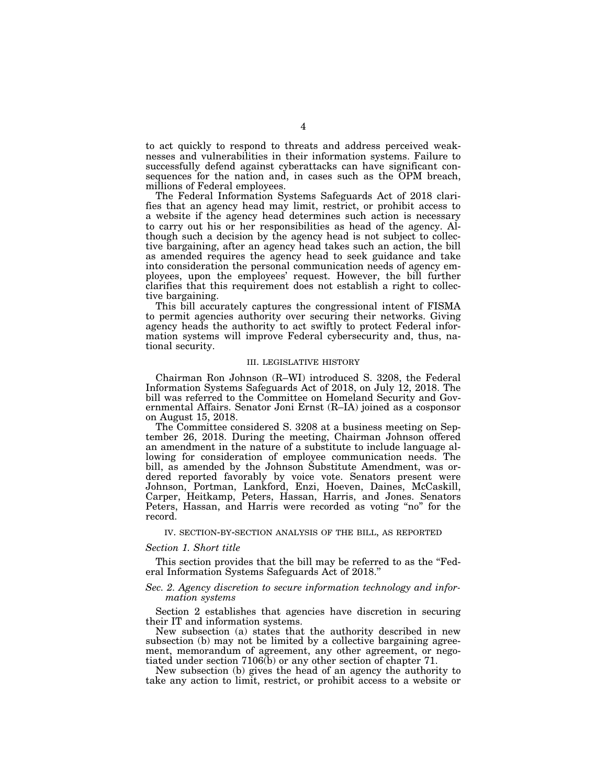to act quickly to respond to threats and address perceived weaknesses and vulnerabilities in their information systems. Failure to successfully defend against cyberattacks can have significant consequences for the nation and, in cases such as the OPM breach, millions of Federal employees.

The Federal Information Systems Safeguards Act of 2018 clarifies that an agency head may limit, restrict, or prohibit access to a website if the agency head determines such action is necessary to carry out his or her responsibilities as head of the agency. Although such a decision by the agency head is not subject to collective bargaining, after an agency head takes such an action, the bill as amended requires the agency head to seek guidance and take into consideration the personal communication needs of agency employees, upon the employees' request. However, the bill further clarifies that this requirement does not establish a right to collective bargaining.

This bill accurately captures the congressional intent of FISMA to permit agencies authority over securing their networks. Giving agency heads the authority to act swiftly to protect Federal information systems will improve Federal cybersecurity and, thus, national security.

#### III. LEGISLATIVE HISTORY

Chairman Ron Johnson (R–WI) introduced S. 3208, the Federal Information Systems Safeguards Act of 2018, on July 12, 2018. The bill was referred to the Committee on Homeland Security and Governmental Affairs. Senator Joni Ernst (R–IA) joined as a cosponsor on August 15, 2018.

The Committee considered S. 3208 at a business meeting on September 26, 2018. During the meeting, Chairman Johnson offered an amendment in the nature of a substitute to include language allowing for consideration of employee communication needs. The bill, as amended by the Johnson Substitute Amendment, was ordered reported favorably by voice vote. Senators present were Johnson, Portman, Lankford, Enzi, Hoeven, Daines, McCaskill, Carper, Heitkamp, Peters, Hassan, Harris, and Jones. Senators Peters, Hassan, and Harris were recorded as voting "no" for the record.

#### IV. SECTION-BY-SECTION ANALYSIS OF THE BILL, AS REPORTED

## *Section 1. Short title*

This section provides that the bill may be referred to as the "Federal Information Systems Safeguards Act of 2018.''

# *Sec. 2. Agency discretion to secure information technology and information systems*

Section 2 establishes that agencies have discretion in securing their IT and information systems.

New subsection (a) states that the authority described in new subsection (b) may not be limited by a collective bargaining agreement, memorandum of agreement, any other agreement, or negotiated under section 7106(b) or any other section of chapter 71.

New subsection (b) gives the head of an agency the authority to take any action to limit, restrict, or prohibit access to a website or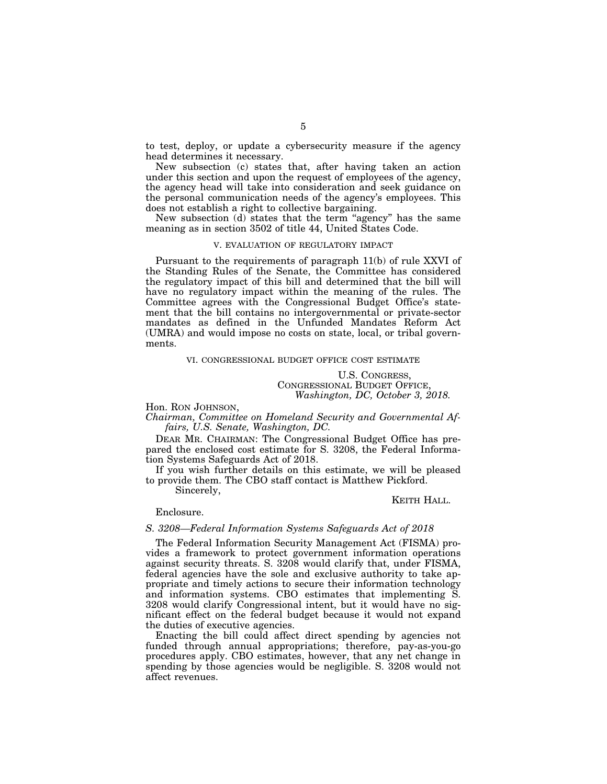to test, deploy, or update a cybersecurity measure if the agency head determines it necessary.

New subsection (c) states that, after having taken an action under this section and upon the request of employees of the agency, the agency head will take into consideration and seek guidance on the personal communication needs of the agency's employees. This does not establish a right to collective bargaining.

New subsection (d) states that the term ''agency'' has the same meaning as in section 3502 of title 44, United States Code.

#### V. EVALUATION OF REGULATORY IMPACT

Pursuant to the requirements of paragraph 11(b) of rule XXVI of the Standing Rules of the Senate, the Committee has considered the regulatory impact of this bill and determined that the bill will have no regulatory impact within the meaning of the rules. The Committee agrees with the Congressional Budget Office's statement that the bill contains no intergovernmental or private-sector mandates as defined in the Unfunded Mandates Reform Act (UMRA) and would impose no costs on state, local, or tribal governments.

#### VI. CONGRESSIONAL BUDGET OFFICE COST ESTIMATE

U.S. CONGRESS, CONGRESSIONAL BUDGET OFFICE, *Washington, DC, October 3, 2018.* 

# Hon. RON JOHNSON,

*Chairman, Committee on Homeland Security and Governmental Affairs, U.S. Senate, Washington, DC.* 

DEAR MR. CHAIRMAN: The Congressional Budget Office has prepared the enclosed cost estimate for S. 3208, the Federal Information Systems Safeguards Act of 2018.

If you wish further details on this estimate, we will be pleased to provide them. The CBO staff contact is Matthew Pickford.

Sincerely,

#### KEITH HALL.

Enclosure.

# *S. 3208—Federal Information Systems Safeguards Act of 2018*

The Federal Information Security Management Act (FISMA) provides a framework to protect government information operations against security threats. S. 3208 would clarify that, under FISMA, federal agencies have the sole and exclusive authority to take appropriate and timely actions to secure their information technology and information systems. CBO estimates that implementing S. 3208 would clarify Congressional intent, but it would have no significant effect on the federal budget because it would not expand the duties of executive agencies.

Enacting the bill could affect direct spending by agencies not funded through annual appropriations; therefore, pay-as-you-go procedures apply. CBO estimates, however, that any net change in spending by those agencies would be negligible. S. 3208 would not affect revenues.